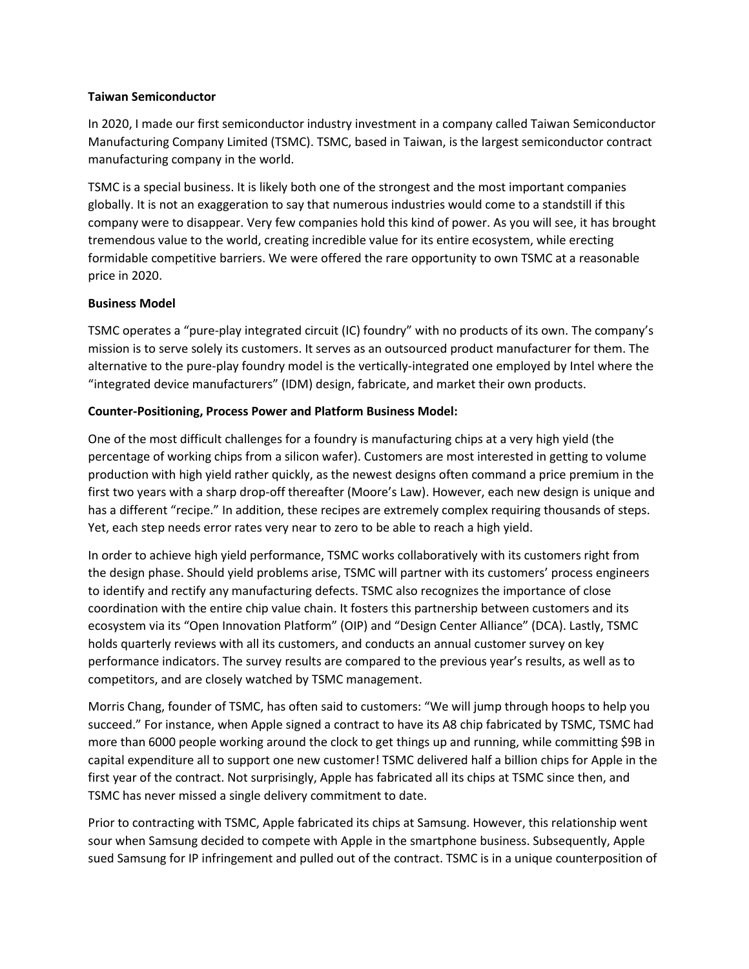#### **Taiwan Semiconductor**

In 2020, I made our first semiconductor industry investment in a company called Taiwan Semiconductor Manufacturing Company Limited (TSMC). TSMC, based in Taiwan, is the largest semiconductor contract manufacturing company in the world.

TSMC is a special business. It is likely both one of the strongest and the most important companies globally. It is not an exaggeration to say that numerous industries would come to a standstill if this company were to disappear. Very few companies hold this kind of power. As you will see, it has brought tremendous value to the world, creating incredible value for its entire ecosystem, while erecting formidable competitive barriers. We were offered the rare opportunity to own TSMC at a reasonable price in 2020.

## **Business Model**

TSMC operates a "pure-play integrated circuit (IC) foundry" with no products of its own. The company's mission is to serve solely its customers. It serves as an outsourced product manufacturer for them. The alternative to the pure-play foundry model is the vertically-integrated one employed by Intel where the "integrated device manufacturers" (IDM) design, fabricate, and market their own products.

# **Counter-Positioning, Process Power and Platform Business Model:**

One of the most difficult challenges for a foundry is manufacturing chips at a very high yield (the percentage of working chips from a silicon wafer). Customers are most interested in getting to volume production with high yield rather quickly, as the newest designs often command a price premium in the first two years with a sharp drop-off thereafter (Moore's Law). However, each new design is unique and has a different "recipe." In addition, these recipes are extremely complex requiring thousands of steps. Yet, each step needs error rates very near to zero to be able to reach a high yield.

In order to achieve high yield performance, TSMC works collaboratively with its customers right from the design phase. Should yield problems arise, TSMC will partner with its customers' process engineers to identify and rectify any manufacturing defects. TSMC also recognizes the importance of close coordination with the entire chip value chain. It fosters this partnership between customers and its ecosystem via its "Open Innovation Platform" (OIP) and "Design Center Alliance" (DCA). Lastly, TSMC holds quarterly reviews with all its customers, and conducts an annual customer survey on key performance indicators. The survey results are compared to the previous year's results, as well as to competitors, and are closely watched by TSMC management.

Morris Chang, founder of TSMC, has often said to customers: "We will jump through hoops to help you succeed." For instance, when Apple signed a contract to have its A8 chip fabricated by TSMC, TSMC had more than 6000 people working around the clock to get things up and running, while committing \$9B in capital expenditure all to support one new customer! TSMC delivered half a billion chips for Apple in the first year of the contract. Not surprisingly, Apple has fabricated all its chips at TSMC since then, and TSMC has never missed a single delivery commitment to date.

Prior to contracting with TSMC, Apple fabricated its chips at Samsung. However, this relationship went sour when Samsung decided to compete with Apple in the smartphone business. Subsequently, Apple sued Samsung for IP infringement and pulled out of the contract. TSMC is in a unique counterposition of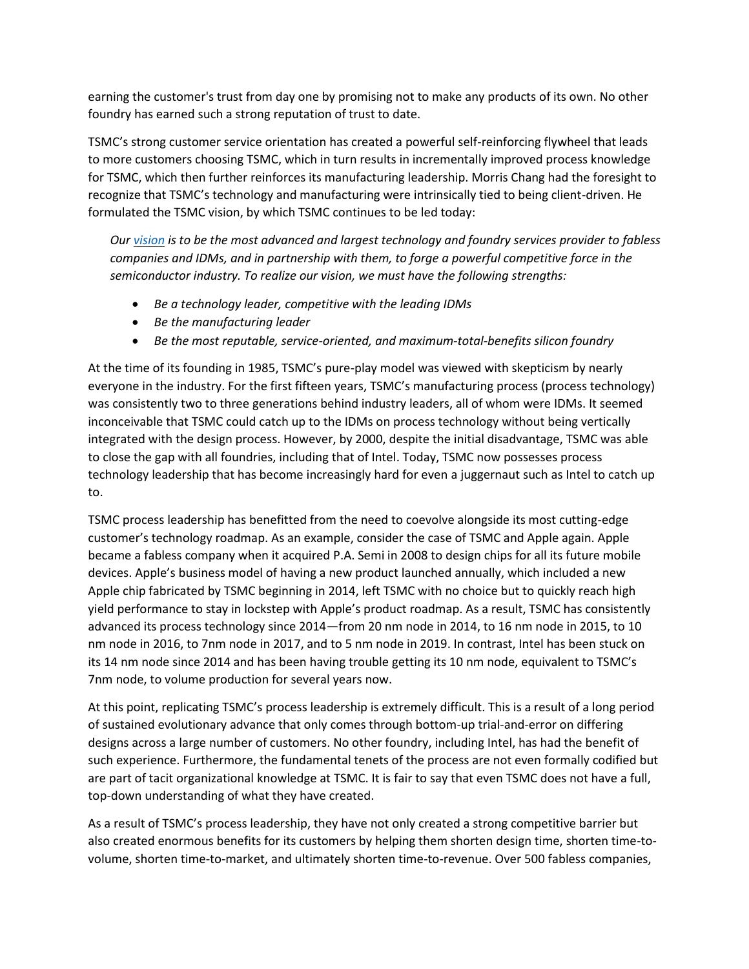earning the customer's trust from day one by promising not to make any products of its own. No other foundry has earned such a strong reputation of trust to date.

TSMC's strong customer service orientation has created a powerful self-reinforcing flywheel that leads to more customers choosing TSMC, which in turn results in incrementally improved process knowledge for TSMC, which then further reinforces its manufacturing leadership. Morris Chang had the foresight to recognize that TSMC's technology and manufacturing were intrinsically tied to being client-driven. He formulated the TSMC vision, by which TSMC continues to be led today:

*Our [vision](https://www.tsmc.com/english/aboutTSMC/mission#:~:text=Our%20vision%20is%20to%20be,force%20in%20the%20semiconductor%20industry.) is to be the most advanced and largest technology and foundry services provider to fabless companies and IDMs, and in partnership with them, to forge a powerful competitive force in the semiconductor industry. To realize our vision, we must have the following strengths:*

- *Be a technology leader, competitive with the leading IDMs*
- *Be the manufacturing leader*
- *Be the most reputable, service-oriented, and maximum-total-benefits silicon foundry*

At the time of its founding in 1985, TSMC's pure-play model was viewed with skepticism by nearly everyone in the industry. For the first fifteen years, TSMC's manufacturing process (process technology) was consistently two to three generations behind industry leaders, all of whom were IDMs. It seemed inconceivable that TSMC could catch up to the IDMs on process technology without being vertically integrated with the design process. However, by 2000, despite the initial disadvantage, TSMC was able to close the gap with all foundries, including that of Intel. Today, TSMC now possesses process technology leadership that has become increasingly hard for even a juggernaut such as Intel to catch up to.

TSMC process leadership has benefitted from the need to coevolve alongside its most cutting-edge customer's technology roadmap. As an example, consider the case of TSMC and Apple again. Apple became a fabless company when it acquired P.A. Semi in 2008 to design chips for all its future mobile devices. Apple's business model of having a new product launched annually, which included a new Apple chip fabricated by TSMC beginning in 2014, left TSMC with no choice but to quickly reach high yield performance to stay in lockstep with Apple's product roadmap. As a result, TSMC has consistently advanced its process technology since 2014—from 20 nm node in 2014, to 16 nm node in 2015, to 10 nm node in 2016, to 7nm node in 2017, and to 5 nm node in 2019. In contrast, Intel has been stuck on its 14 nm node since 2014 and has been having trouble getting its 10 nm node, equivalent to TSMC's 7nm node, to volume production for several years now.

At this point, replicating TSMC's process leadership is extremely difficult. This is a result of a long period of sustained evolutionary advance that only comes through bottom-up trial-and-error on differing designs across a large number of customers. No other foundry, including Intel, has had the benefit of such experience. Furthermore, the fundamental tenets of the process are not even formally codified but are part of tacit organizational knowledge at TSMC. It is fair to say that even TSMC does not have a full, top-down understanding of what they have created.

As a result of TSMC's process leadership, they have not only created a strong competitive barrier but also created enormous benefits for its customers by helping them shorten design time, shorten time-tovolume, shorten time-to-market, and ultimately shorten time-to-revenue. Over 500 fabless companies,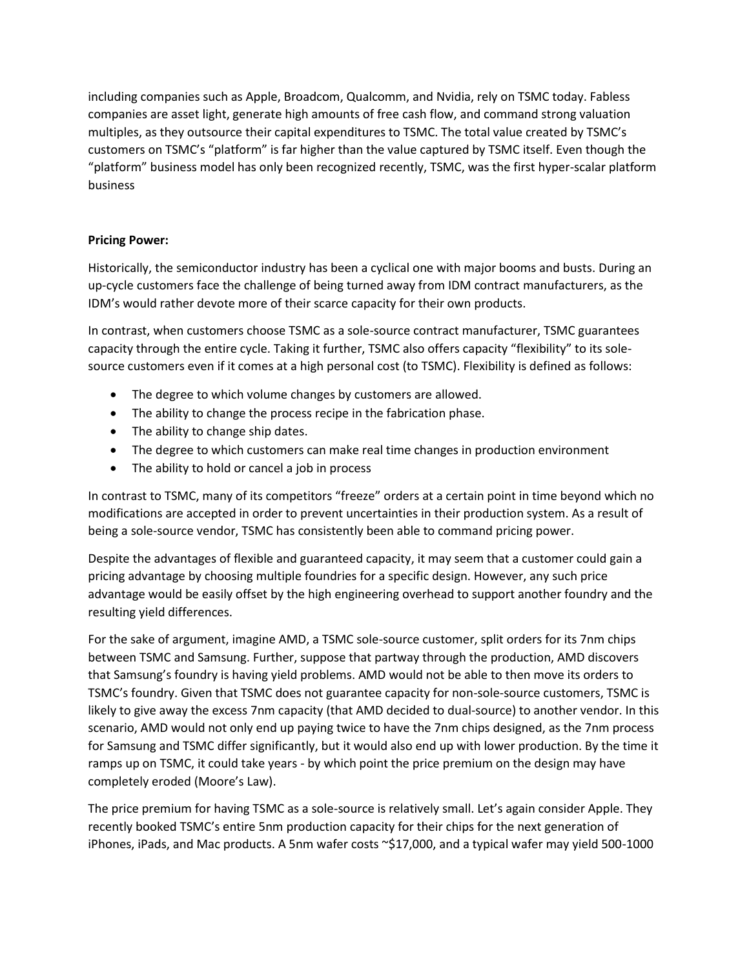including companies such as Apple, Broadcom, Qualcomm, and Nvidia, rely on TSMC today. Fabless companies are asset light, generate high amounts of free cash flow, and command strong valuation multiples, as they outsource their capital expenditures to TSMC. The total value created by TSMC's customers on TSMC's "platform" is far higher than the value captured by TSMC itself. Even though the "platform" business model has only been recognized recently, TSMC, was the first hyper-scalar platform business

## **Pricing Power:**

Historically, the semiconductor industry has been a cyclical one with major booms and busts. During an up-cycle customers face the challenge of being turned away from IDM contract manufacturers, as the IDM's would rather devote more of their scarce capacity for their own products.

In contrast, when customers choose TSMC as a sole-source contract manufacturer, TSMC guarantees capacity through the entire cycle. Taking it further, TSMC also offers capacity "flexibility" to its solesource customers even if it comes at a high personal cost (to TSMC). Flexibility is defined as follows:

- The degree to which volume changes by customers are allowed.
- The ability to change the process recipe in the fabrication phase.
- The ability to change ship dates.
- The degree to which customers can make real time changes in production environment
- The ability to hold or cancel a job in process

In contrast to TSMC, many of its competitors "freeze" orders at a certain point in time beyond which no modifications are accepted in order to prevent uncertainties in their production system. As a result of being a sole-source vendor, TSMC has consistently been able to command pricing power.

Despite the advantages of flexible and guaranteed capacity, it may seem that a customer could gain a pricing advantage by choosing multiple foundries for a specific design. However, any such price advantage would be easily offset by the high engineering overhead to support another foundry and the resulting yield differences.

For the sake of argument, imagine AMD, a TSMC sole-source customer, split orders for its 7nm chips between TSMC and Samsung. Further, suppose that partway through the production, AMD discovers that Samsung's foundry is having yield problems. AMD would not be able to then move its orders to TSMC's foundry. Given that TSMC does not guarantee capacity for non-sole-source customers, TSMC is likely to give away the excess 7nm capacity (that AMD decided to dual-source) to another vendor. In this scenario, AMD would not only end up paying twice to have the 7nm chips designed, as the 7nm process for Samsung and TSMC differ significantly, but it would also end up with lower production. By the time it ramps up on TSMC, it could take years - by which point the price premium on the design may have completely eroded (Moore's Law).

The price premium for having TSMC as a sole-source is relatively small. Let's again consider Apple. They recently booked TSMC's entire 5nm production capacity for their chips for the next generation of iPhones, iPads, and Mac products. A 5nm wafer costs ~\$17,000, and a typical wafer may yield 500-1000